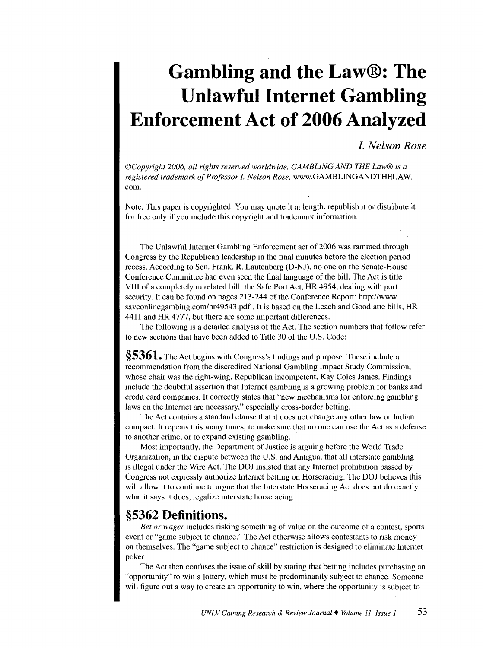## **Gambling and the Law®: The Unlawful Internet Gambling Enforcement Act of 2006 Analyzed**

## I. *Nelson Rose*

*©Copyright 2006, all rights reserved worldwide. GAMBUNG AND THE Law® is a registered trademark of Professor* I. *Nelson Rose,* www.GAMBLINGANDTHELAW. com.

Note: This paper is copyrighted. You may quote it at length, republish it or distribute it for free only if you include this copyright and trademark information.

The Unlawful Internet Gambling Enforcement act of 2006 was rammed through Congress by the Republican leadership in the final minutes before the election period recess. According to Sen. Frank. R. Lautenberg (D-NJ), no one on the Senate-House Conference Committee had even seen the final language of the bill. The Act is title VIII of a completely unrelated bill, the Safe Port Act, HR 4954, dealing with port security. It can be found on pages 213-244 of the Conference Report: http://www. saveonlinegambing.com/hr49543.pdf. It is based on the Leach and Goodlatte bills, HR 4411 and HR 4777, but there are some important differences.

The following is a detailed analysis of the Act. The section numbers that follow refer to new sections that have been added to Title 30 of the U.S. Code:

**§5361.** The Act begins with Congress's findings and purpose. These include a recommendation from the discredited National Gambling Impact Study Commission, whose chair was the right-wing, Republican incompetent, Kay Coles James. Findings include the doubtful assertion that Internet gambling is a growing problem for banks and credit card companies. It correctly states that "new mechanisms for enforcing gambling laws on the Internet are necessary," especially cross-border betting.

The Act contains a standard clause that it does not change any other law or Indian compact. It repeats this many times, to make sure that no one can use the Act as a defense to another crime, or to expand existing gambling.

Most importantly, the Department of Justice is arguing before the World Trade Organization, in the dispute between the U.S. and Antigua, that all interstate gambling is illegal under the Wire Act. The DOJ insisted that any Internet prohibition passed by Congress not expressly authorize Internet betting on Horseracing. The DOJ believes this will allow it to continue to argue that the Interstate Horseracing Act does not do exactly what it says it does, legalize interstate horseracing.

## **§5362 Definitions.**

*Bet or wager* includes risking something of value on the outcome of a contest, sports event or "game subject to chance." The Act otherwise allows contestants to risk money on themselves. The "game subject to chance" restriction is designed to eliminate Internet poker.

The Act then confuses the issue of skill by stating that betting includes purchasing an "opportunity" to win a lottery, which must be predominantly subject to chance. Someone will figure out a way to create an opportunity to win, where the opportunity is subject to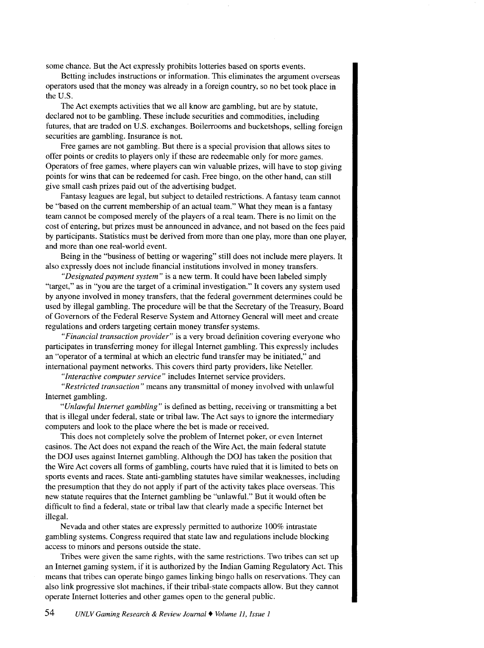some chance. But the Act expressly prohibits lotteries based on sports events.

Betting includes instructions or information. This eliminates the argument overseas operators used that the money was already in a foreign country, so no bet took place in the U.S.

The Act exempts activities that we all know are gambling, but are by statute, declared not to be gambling. These include securities and commodities, including futures, that are traded on U.S. exchanges. Boilerrooms and bucketshops, selling foreign securities are gambling. Insurance is not.

Free games are not gambling. But there is a special provision that allows sites to offer points or credits to players only if these are redeemable only for more games. Operators of free games, where players can win valuable prizes, will have to stop giving points for wins that can be redeemed for cash. Free bingo, on the other hand, can still give small cash prizes paid out of the advertising budget.

Fantasy leagues are legal, but subject to detailed restrictions. A fantasy team cannot be "based on the current membership of an actual team." What they mean is a fantasy team cannot be composed merely of the players of a real team. There is no limit on the cost of entering, but prizes must be announced in advance, and not based on the fees paid by participants. Statistics must be derived from more than one play, more than one player, and more than one real-world event.

Being in the "business of betting or wagering" still does not include mere players. It also expressly does not include financial institutions involved in money transfers.

*"Designated payment system"* is a new term. It could have been labeled simply "target," as in "you are the target of a criminal investigation." It covers any system used by anyone involved in money transfers, that the federal government determines could be used by illegal gambling. The procedure will be that the Secretary of the Treasury, Board of Governors of the Federal Reserve System and Attorney General will meet and create regulations and orders targeting certain money transfer systems.

*"Financial transaction provider"* is a very broad definition covering everyone who participates in transferring money for illegal Internet gambling. This expressly includes an "operator of a terminal at which an electric fund transfer may be initiated," and international payment networks. This covers third party providers, like Neteller.

*"Interactive computer service"* includes Internet service providers.

*"Restricted transaction"* means any transmittal of money involved with unlawful Internet gambling.

*"Unlawful Internet gambling"* is defined as betting, receiving or transmitting a bet that is illegal under federal, state or tribal law. The Act says to ignore the intermediary computers and look to the place where the bet is made or received.

This does not completely solve the problem of Internet poker, or even Internet casinos. The Act does not expand the reach of the Wire Act, the main federal statute the DOJ uses against Internet gambling. Although the DOJ has taken the position that the Wire Act covers all forms of gambling, courts have ruled that it is limited to bets on sports events and races. State anti-gambling statutes have similar weaknesses, including the presumption that they do not apply if part of the activity takes place overseas. This new statute requires that the Internet gambling be "unlawful." But it would often be difficult to find a federal, state or tribal law that clearly made a specific Internet bet illegal.

Nevada and other states are expressly permitted to authorize 100% intrastate gambling systems. Congress required that state law and regulations include blocking access to minors and persons outside the state.

Tribes were given the same rights, with the same restrictions. Two tribes can set up an Internet gaming system, if it is authorized by the Indian Gaming Regulatory Act. This means that tribes can operate bingo games linking bingo halls on reservations. They can also link progressive slot machines, if their tribal-state compacts allow. But they cannot operate Internet lotteries and other games open to the general public.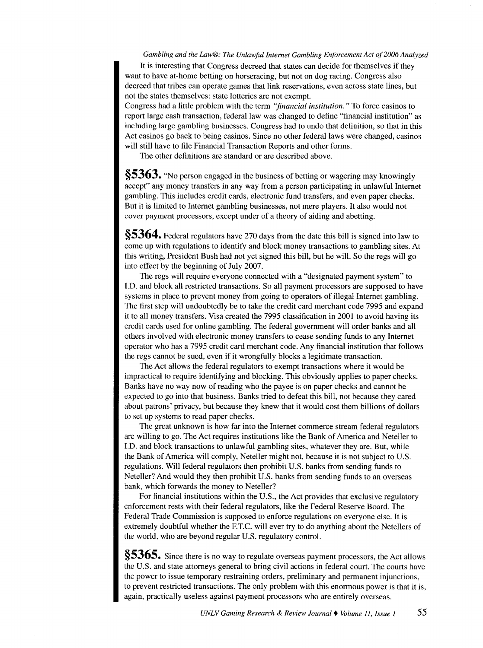## *Gambling and the Law®: The Unlawful Internet Gambling Enforcement Act of 2006 Analyzed*

It is interesting that Congress decreed that states can decide for themselves if they want to have at-home betting on horseracing, but not on dog racing. Congress also decreed that tribes can operate games that link reservations, even across state lines, but not the states themselves: state lotteries are not exempt.

Congress had a little problem with the term *"financial institution.* " To force casinos to report large cash transaction, federal law was changed to define "financial institution" as including large gambling businesses. Congress had to undo that definition, so that in this Act casinos go back to being casinos. Since no other federal laws were changed, casinos will still have to file Financial Transaction Reports and other forms.

The other definitions are standard or are described above.

**§5363.** "No person engaged in the business of betting or wagering may knowingly accept" any money transfers in any way from a person participating in unlawful Internet gambling. This includes credit cards, electronic fund transfers, and even paper checks. But it is limited to Internet gambling businesses, not mere players. It also would not cover payment processors, except under of a theory of aiding and abetting.

**§5364.** Federal regulators have 270 days from the date this bill is signed into law to come up with regulations to identify and block money transactions to gambling sites. At this writing, President Bush had not yet signed this bill, but he will. So the regs will go into effect by the beginning of July 2007.

The regs will require everyone connected with a "designated payment system" to I.D. and block all restricted transactions. So all payment processors are supposed to have systems in place to prevent money from going to operators of illegal Internet gambling. The first step will undoubtedly be to take the credit card merchant code 7995 and expand it to all money transfers. Visa created the 7995 classification in 2001 to avoid having its credit cards used for online gambling. The federal government will order banks and all others involved with electronic money transfers to cease sending funds to any Internet operator who has a 7995 credit card merchant code. Any financial institution that follows the regs cannot be sued, even if it wrongfully blocks a legitimate transaction.

The Act allows the federal regulators to exempt transactions where it would be impractical to require identifying and blocking. This obviously applies to paper checks. Banks have no way now of reading who the payee is on paper checks and cannot be expected to go into that business. Banks tried to defeat this bill, not because they cared about patrons' privacy, but because they knew that it would cost them billions of dollars to set up systems to read paper checks.

The great unknown is how far into the Internet commerce stream federal regulators are willing to go. The Act requires institutions like the Bank of America and Neteller to I.D. and block transactions to unlawful gambling sites, whatever they are. But, while the Bank of America will comply, Neteller might not, because it is not subject to U.S. regulations. Will federal regulators then prohibit U.S. banks from sending funds to Neteller? And would they then prohibit U.S. banks from sending funds to an overseas bank, which forwards the money to Neteller?

For financial institutions within the U.S., the Act provides that exclusive regulatory enforcement rests with their federal regulators, like the Federal Reserve Board. The Federal Trade Commission is supposed to enforce regulations on everyone else. It is extremely doubtful whether the F.T.C. will ever try to do anything about the Netellers of the world, who are beyond regular U.S. regulatory control.

**§5365.** Since there is no way to regulate overseas payment processors, the Act allows the U.S. and state attorneys general to bring civil actions in federal court. The courts have the power to issue temporary restraining orders, preliminary and permanent injunctions, to prevent restricted transactions. The only problem with this enormous power is that it is, again, practically useless against payment processors who are entirely overseas.